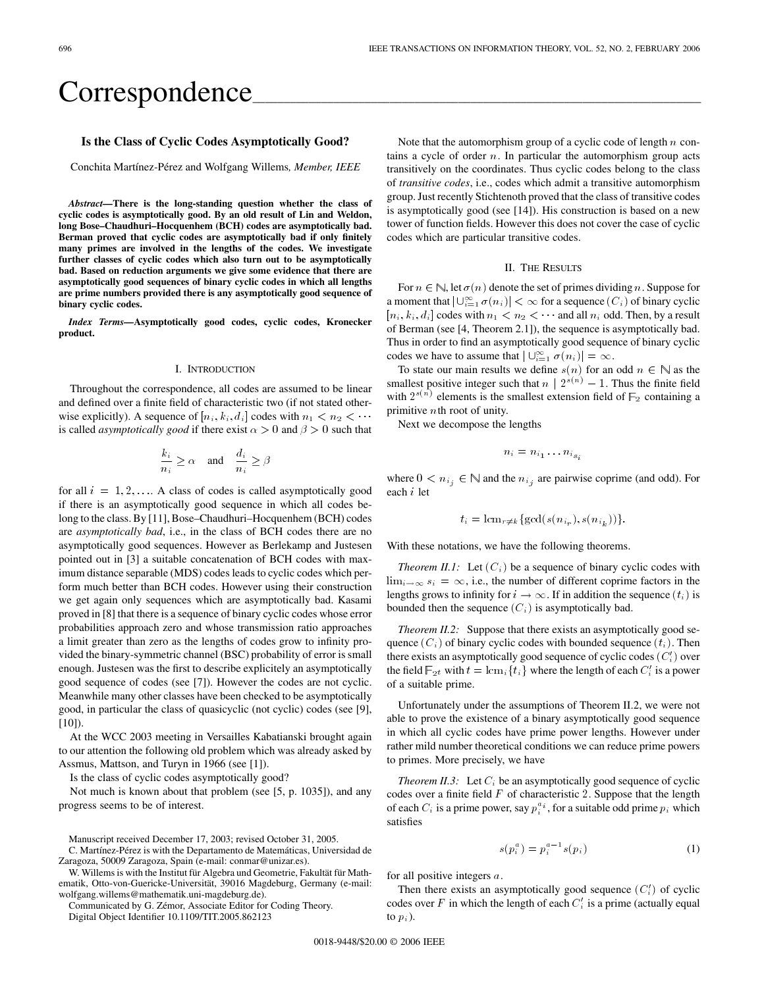# Correspondence

# **Is the Class of Cyclic Codes Asymptotically Good?**

Conchita Martínez-Pérez and Wolfgang Willems*, Member, IEEE*

*Abstract—***There is the long-standing question whether the class of cyclic codes is asymptotically good. By an old result of Lin and Weldon, long Bose–Chaudhuri–Hocquenhem (BCH) codes are asymptotically bad. Berman proved that cyclic codes are asymptotically bad if only finitely many primes are involved in the lengths of the codes. We investigate further classes of cyclic codes which also turn out to be asymptotically bad. Based on reduction arguments we give some evidence that there are asymptotically good sequences of binary cyclic codes in which all lengths are prime numbers provided there is any asymptotically good sequence of binary cyclic codes.**

*Index Terms*—Asymptotically good codes, cyclic codes, Kronecker **product.**

# I. INTRODUCTION

Throughout the correspondence, all codes are assumed to be linear and defined over a finite field of characteristic two (if not stated otherwise explicitly). A sequence of  $[n_i, k_i, d_i]$  codes with  $n_1 < n_2 < \cdots$ is called *asymptotically good* if there exist  $\alpha > 0$  and  $\beta > 0$  such that

$$
\frac{k_i}{n_i}\geq \alpha \quad \text{and} \quad \frac{d_i}{n_i}\geq \beta
$$

for all  $i = 1, 2, \ldots$  A class of codes is called asymptotically good if there is an asymptotically good sequence in which all codes belong to the class. By [11], Bose–Chaudhuri–Hocquenhem (BCH) codes are *asymptotically bad*, i.e., in the class of BCH codes there are no asymptotically good sequences. However as Berlekamp and Justesen pointed out in [3] a suitable concatenation of BCH codes with maximum distance separable (MDS) codes leads to cyclic codes which perform much better than BCH codes. However using their construction we get again only sequences which are asymptotically bad. Kasami proved in [8] that there is a sequence of binary cyclic codes whose error probabilities approach zero and whose transmission ratio approaches a limit greater than zero as the lengths of codes grow to infinity provided the binary-symmetric channel (BSC) probability of error is small enough. Justesen was the first to describe explicitely an asymptotically good sequence of codes (see [7]). However the codes are not cyclic. Meanwhile many other classes have been checked to be asymptotically good, in particular the class of quasicyclic (not cyclic) codes (see [9], [10]).

At the WCC 2003 meeting in Versailles Kabatianski brought again to our attention the following old problem which was already asked by Assmus, Mattson, and Turyn in 1966 (see [1]).

Is the class of cyclic codes asymptotically good?

Not much is known about that problem (see [5, p. 1035]), and any progress seems to be of interest.

W. Willems is with the Institut für Algebra und Geometrie, Fakultät für Mathematik, Otto-von-Guericke-Universität, 39016 Magdeburg, Germany (e-mail: wolfgang.willems@mathematik.uni-magdeburg.de).

Communicated by G. Zémor, Associate Editor for Coding Theory. Digital Object Identifier 10.1109/TIT.2005.862123

Note that the automorphism group of a cyclic code of length  $n$  contains a cycle of order  $n$ . In particular the automorphism group acts transitively on the coordinates. Thus cyclic codes belong to the class of *transitive codes*, i.e., codes which admit a transitive automorphism group. Just recently Stichtenoth proved that the class of transitive codes is asymptotically good (see [14]). His construction is based on a new tower of function fields. However this does not cover the case of cyclic codes which are particular transitive codes.

## II. THE RESULTS

For  $n \in \mathbb{N}$ , let  $\sigma(n)$  denote the set of primes dividing n. Suppose for a moment that  $|\bigcup_{i=1}^{\infty} \sigma(n_i)| < \infty$  for a sequence  $(C_i)$  of binary cyclic  $[n_i, k_i, d_i]$  codes with  $n_1 < n_2 < \cdots$  and all  $n_i$  odd. Then, by a result of Berman (see [4, Theorem 2.1]), the sequence is asymptotically bad. Thus in order to find an asymptotically good sequence of binary cyclic codes we have to assume that  $|\bigcup_{i=1}^{\infty} \sigma(n_i)| = \infty$ .

To state our main results we define  $s(n)$  for an odd  $n \in \mathbb{N}$  as the smallest positive integer such that  $n \mid 2^{s(n)} - 1$ . Thus the finite field with  $2^{s(n)}$  elements is the smallest extension field of  $\mathbb{F}_2$  containing a primitive nth root of unity.

Next we decompose the lengths

$$
n_i = n_{i_1} \dots n_{i_{s_i}}
$$

where  $0 < n_{i_j} \in \mathbb{N}$  and the  $n_{i_j}$  are pairwise coprime (and odd). For each i let

$$
t_i = \text{lcm}_{r \neq k} \{ \gcd(s(n_{i_r}), s(n_{i_k})) \}.
$$

With these notations, we have the following theorems.

*Theorem II.1:* Let  $(C_i)$  be a sequence of binary cyclic codes with  $\lim_{i \to \infty} s_i = \infty$ , i.e., the number of different coprime factors in the lengths grows to infinity for  $i \to \infty$ . If in addition the sequence  $(t_i)$  is bounded then the sequence  $(C_i)$  is asymptotically bad.

*Theorem II.2:* Suppose that there exists an asymptotically good sequence  $(C_i)$  of binary cyclic codes with bounded sequence  $(t_i)$ . Then there exists an asymptotically good sequence of cyclic codes  $(C_i')$  over the field  $\mathbb{F}_{2^t}$  with  $t = \text{lcm}_i \{t_i\}$  where the length of each  $C'_i$  is a power of a suitable prime.

Unfortunately under the assumptions of Theorem II.2, we were not able to prove the existence of a binary asymptotically good sequence in which all cyclic codes have prime power lengths. However under rather mild number theoretical conditions we can reduce prime powers to primes. More precisely, we have

*Theorem II.3:* Let  $C_i$  be an asymptotically good sequence of cyclic codes over a finite field  $F$  of characteristic 2. Suppose that the length of each  $C_i$  is a prime power, say  $p_i^{a_i}$ , for a suitable odd prime  $p_i$  which satisfies

$$
s(p_i^a) = p_i^{a-1} s(p_i)
$$
 (1)

for all positive integers a.

Then there exists an asymptotically good sequence  $(C_i')$  of cyclic codes over F in which the length of each  $C_i'$  is a prime (actually equal to  $p_i$ ).

Manuscript received December 17, 2003; revised October 31, 2005.

C. Martínez-Pérez is with the Departamento de Matemáticas, Universidad de Zaragoza, 50009 Zaragoza, Spain (e-mail: conmar@unizar.es).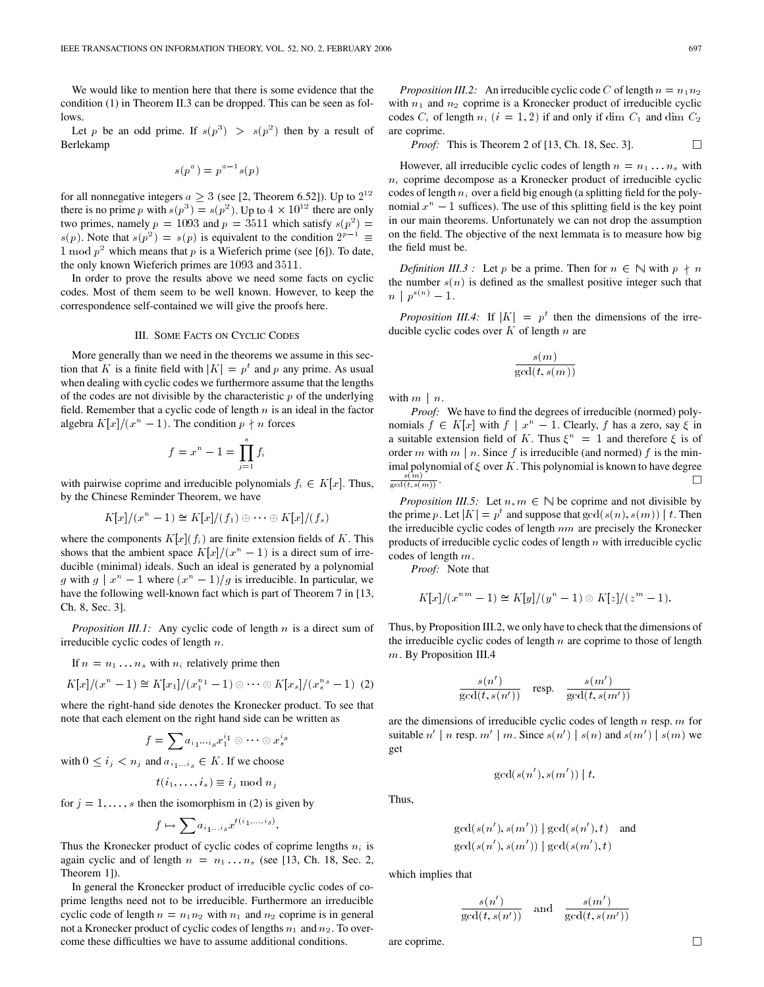We would like to mention here that there is some evidence that the condition (1) in Theorem II.3 can be dropped. This can be seen as follows.

Let p be an odd prime. If  $s(p^3) > s(p^2)$  then by a result of Berlekamp

$$
s(p^a) = p^{a-1}s(p)
$$

for all nonnegative integers  $a \geq 3$  (see [2, Theorem 6.52]). Up to  $2^{12}$ there is no prime p with  $s(p^3) = s(p^2)$ . Up to  $4 \times 10^{12}$  there are only two primes, namely  $p = 1093$  and  $p = 3511$  which satisfy  $s(p^2) =$  $s(p)$ . Note that  $s(p^2) = s(p)$  is equivalent to the condition  $2^{p-1} \equiv$ 1 mod  $p^2$  which means that p is a Wieferich prime (see [6]). To date, the only known Wieferich primes are 1093 and 3511.

In order to prove the results above we need some facts on cyclic codes. Most of them seem to be well known. However, to keep the correspondence self-contained we will give the proofs here.

## III. SOME FACTS ON CYCLIC CODES

More generally than we need in the theorems we assume in this section that K is a finite field with  $|K| = p<sup>t</sup>$  and p any prime. As usual when dealing with cyclic codes we furthermore assume that the lengths of the codes are not divisible by the characteristic  $p$  of the underlying field. Remember that a cyclic code of length  $n$  is an ideal in the factor algebra  $K[x]/(x^n - 1)$ . The condition  $p \nmid n$  forces

$$
f = x^n - 1 = \prod_{j=1}^s f_i
$$

with pairwise coprime and irreducible polynomials  $f_i \in K[x]$ . Thus, by the Chinese Reminder Theorem, we have

$$
K[x]/(x^{n}-1) \cong K[x]/(f_{1}) \oplus \cdots \oplus K[x]/(f_{s})
$$

where the components  $K[x](f_i)$  are finite extension fields of K. This shows that the ambient space  $K[x]/(x^n - 1)$  is a direct sum of irreducible (minimal) ideals. Such an ideal is generated by a polynomial g with  $g \mid x^n - 1$  where  $(x^n - 1)/g$  is irreducible. In particular, we have the following well-known fact which is part of Theorem 7 in [13, Ch. 8, Sec. 3].

*Proposition III.1:* Any cyclic code of length n is a direct sum of irreducible cyclic codes of length n.

If  $n = n_1 \dots n_s$  with  $n_i$  relatively prime then

$$
K[x]/(x^{n}-1) \cong K[x_{1}]/(x_{1}^{n_{1}}-1) \otimes \cdots \otimes K[x_{s}]/(x_{s}^{n_{s}}-1)
$$
 (2)

where the right-hand side denotes the Kronecker product. To see that note that each element on the right hand side can be written as

$$
f=\sum a_{i_1\cdots i_s}x_1^{i_1}\otimes\cdots\otimes x_s^{i_s}
$$

with  $0 \le i_j < n_j$  and  $a_{i_1...i_s} \in K$ . If we choose

$$
t(i_1,\ldots,i_s) \equiv i_j \mod n_j
$$

for  $j = 1, \ldots, s$  then the isomorphism in (2) is given by

$$
f \mapsto \sum a_{i_1...i_s} x^{t(i_1,...,i_s)}.
$$

Thus the Kronecker product of cyclic codes of coprime lengths  $n_i$  is again cyclic and of length  $n = n_1 \dots n_s$  (see [13, Ch. 18, Sec. 2, Theorem 1]).

In general the Kronecker product of irreducible cyclic codes of coprime lengths need not to be irreducible. Furthermore an irreducible cyclic code of length  $n = n_1 n_2$  with  $n_1$  and  $n_2$  coprime is in general not a Kronecker product of cyclic codes of lengths  $n_1$  and  $n_2$ . To overcome these difficulties we have to assume additional conditions.

*Proposition III.2:* An irreducible cyclic code C of length  $n = n_1 n_2$ with  $n_1$  and  $n_2$  coprime is a Kronecker product of irreducible cyclic codes  $C_i$  of length  $n_i$   $(i = 1, 2)$  if and only if dim  $C_1$  and dim  $C_2$ are coprime.

*Proof:* This is Theorem 2 of [13, Ch. 18, Sec. 3].  $\Box$ 

However, all irreducible cyclic codes of length  $n = n_1 \dots n_s$  with  $n_i$  coprime decompose as a Kronecker product of irreducible cyclic codes of length  $n_i$  over a field big enough (a splitting field for the polynomial  $x^n - 1$  suffices). The use of this splitting field is the key point in our main theorems. Unfortunately we can not drop the assumption on the field. The objective of the next lemmata is to measure how big the field must be.

*Definition III.3* : Let p be a prime. Then for  $n \in \mathbb{N}$  with  $p \nmid n$ the number  $s(n)$  is defined as the smallest positive integer such that  $n \mid p^{s(n)} - 1.$ 

*Proposition III.4:* If  $|K| = p^t$  then the dimensions of the irreducible cyclic codes over  $K$  of length  $n$  are

$$
\frac{s(m)}{\gcd(t,s(m))}
$$

with  $m \mid n$ .

*Proof:* We have to find the degrees of irreducible (normed) polynomials  $f \in K[x]$  with  $f | x^n - 1$ . Clearly, f has a zero, say  $\xi$  in a suitable extension field of K. Thus  $\xi^n = 1$  and therefore  $\xi$  is of order m with  $m \mid n$ . Since f is irreducible (and normed) f is the minimal polynomial of  $\xi$  over K. This polynomial is known to have degree  $\frac{s(m)}{gcd(t,s(m))}$ .

*Proposition III.5:* Let  $n, m \in \mathbb{N}$  be coprime and not divisible by the prime p. Let  $|K| = p^t$  and suppose that  $gcd(s(n), s(m)) | t$ . Then the irreducible cyclic codes of length  $nm$  are precisely the Kronecker products of irreducible cyclic codes of length  $n$  with irreducible cyclic codes of length m.

*Proof:* Note that

$$
K[x]/(x^{nm} - 1) \cong K[y]/(y^n - 1) \otimes K[z]/(z^m - 1).
$$

Thus, by Proposition III.2, we only have to check that the dimensions of the irreducible cyclic codes of length  $n$  are coprime to those of length m. By Proposition III.4

$$
\frac{s(n')}{\gcd(t, s(n'))} \quad \text{resp.} \quad \frac{s(m')}{\gcd(t, s(m'))}
$$

are the dimensions of irreducible cyclic codes of length  $n$  resp.  $m$  for suitable  $n' \mid n$  resp.  $m' \mid m$ . Since  $s(n') \mid s(n)$  and  $s(m') \mid s(m)$  we get

$$
\gcd(s(n'),s(m')) \mid t.
$$

Thus,

$$
gcd(s(n'), s(m')) | gcd(s(n'), t)
$$
 and 
$$
gcd(s(n'), s(m')) | gcd(s(m'), t)
$$

which implies that

$$
\frac{s(n')}{\gcd(t, s(n'))} \quad \text{and} \quad \frac{s(m')}{\gcd(t, s(m'))}
$$

are coprime.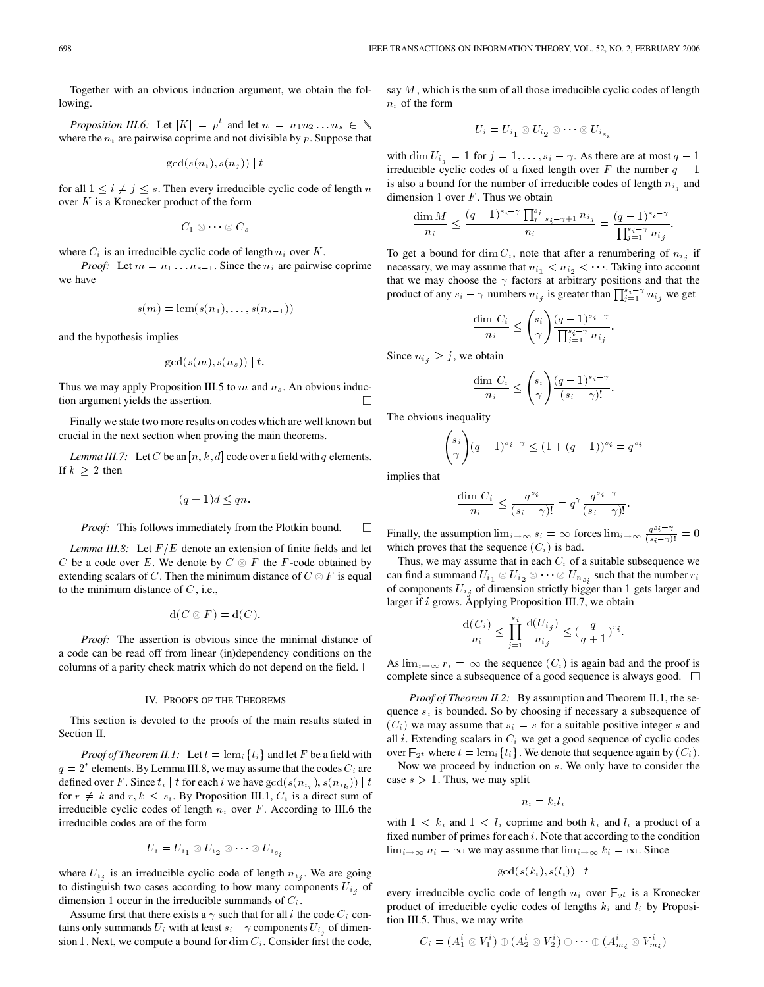Together with an obvious induction argument, we obtain the following.

*Proposition III.6:* Let  $|K| = p^t$  and let  $n = n_1 n_2 ... n_s \in \mathbb{N}$ where the  $n_i$  are pairwise coprime and not divisible by p. Suppose that

$$
\gcd(s(n_i),s(n_j)) \mid t
$$

for all  $1 \leq i \neq j \leq s$ . Then every irreducible cyclic code of length n over  $K$  is a Kronecker product of the form

$$
C_1\otimes\cdots\otimes C_s
$$

where  $C_i$  is an irreducible cyclic code of length  $n_i$  over  $K$ .

*Proof:* Let  $m = n_1 \dots n_{s-1}$ . Since the  $n_i$  are pairwise coprime we have

$$
s(m) = \operatorname{lcm}(s(n_1), \ldots, s(n_{s-1}))
$$

and the hypothesis implies

$$
\gcd(s(m),s(n_s))\mid t.
$$

Thus we may apply Proposition III.5 to  $m$  and  $n_s$ . An obvious induction argument yields the assertion.  $\Box$ 

Finally we state two more results on codes which are well known but crucial in the next section when proving the main theorems.

*Lemma III.7:* Let C be an [n, k, d] code over a field with q elements. If  $k \geq 2$  then

$$
(q+1)d \le qn.
$$

*Proof:* This follows immediately from the Plotkin bound.  $\Box$ 

*Lemma III.8:* Let  $F/E$  denote an extension of finite fields and let C be a code over E. We denote by  $C \otimes F$  the F-code obtained by extending scalars of C. Then the minimum distance of  $C \otimes F$  is equal to the minimum distance of  $C$ , i.e.,

$$
d(C \otimes F) = d(C).
$$

*Proof:* The assertion is obvious since the minimal distance of a code can be read off from linear (in)dependency conditions on the columns of a parity check matrix which do not depend on the field.  $\Box$ 

#### IV. PROOFS OF THE THEOREMS

This section is devoted to the proofs of the main results stated in Section II.

*Proof of Theorem II.1:* Let  $t = \text{lcm}_i \{t_i\}$  and let F be a field with  $q = 2<sup>t</sup>$  elements. By Lemma III.8, we may assume that the codes  $C<sub>i</sub>$  are defined over F. Since  $t_i | t$  for each i we have  $gcd(s(n_{i_r}), s(n_{i_k})) | t$ for  $r \neq k$  and  $r, k \leq s_i$ . By Proposition III.1,  $C_i$  is a direct sum of irreducible cyclic codes of length  $n_i$  over  $F$ . According to III.6 the irreducible codes are of the form

$$
U_i = U_{i_1} \otimes U_{i_2} \otimes \cdots \otimes U_{i_s}
$$

where  $U_{i_j}$  is an irreducible cyclic code of length  $n_{i_j}$ . We are going to distinguish two cases according to how many components  $U_{i,j}$  of dimension 1 occur in the irreducible summands of  $C_i$ .

Assume first that there exists a  $\gamma$  such that for all i the code  $C_i$  contains only summands  $U_i$  with at least  $s_i - \gamma$  components  $U_{i_j}$  of dimension 1. Next, we compute a bound for  $\dim C_i$ . Consider first the code, say  $M$ , which is the sum of all those irreducible cyclic codes of length  $n_i$  of the form

$$
U_i = U_{i_1} \otimes U_{i_2} \otimes \cdots \otimes U_{i_{s_i}}
$$

with dim  $U_{i_j} = 1$  for  $j = 1, \ldots, s_i - \gamma$ . As there are at most  $q - 1$ irreducible cyclic codes of a fixed length over F the number  $q - 1$ is also a bound for the number of irreducible codes of length  $n_{i,j}$  and dimension 1 over  $F$ . Thus we obtain

$$
\frac{\dim M}{n_i} \leq \frac{(q-1)^{s_i-\gamma} \prod_{j=s_i-\gamma+1}^{s_i} n_{i_j}}{n_i} = \frac{(q-1)^{s_i-\gamma}}{\prod_{j=1}^{s_i-\gamma} n_{i_j}}.
$$

To get a bound for dim  $C_i$ , note that after a renumbering of  $n_{i_j}$  if necessary, we may assume that  $n_{i_1} < n_{i_2} < \cdots$ . Taking into account that we may choose the  $\gamma$  factors at arbitrary positions and that the product of any  $s_i - \gamma$  numbers  $n_{i_j}$  is greater than  $\prod_{j=1}^{s_i - \gamma} n_{i_j}$  we get

$$
\frac{\dim C_i}{n_i} \le \binom{s_i}{\gamma} \frac{(q-1)^{s_i-\gamma}}{\prod_{j=1}^{s_i-\gamma} n_{i_j}}
$$

:

Since  $n_{i_j} \geq j$ , we obtain

$$
\frac{\dim C_i}{n_i} \le \binom{s_i}{\gamma} \frac{(q-1)^{s_i-\gamma}}{(s_i-\gamma)!}.
$$

The obvious inequality

$$
\binom{s_i}{\gamma} (q-1)^{s_i-\gamma} \le (1+(q-1))^{s_i} = q^s
$$

implies that

$$
\frac{\dim C_i}{n_i} \le \frac{q^{s_i}}{(s_i - \gamma)!} = q^{\gamma} \frac{q^{s_i - \gamma}}{(s_i - \gamma)!}.
$$

Finally, the assumption  $\lim_{i \to \infty} s_i = \infty$  forces  $\lim_{i \to \infty} \frac{q^{s_i - \gamma}}{(s_i - \gamma)!} = 0$ which proves that the sequence  $(C_i)$  is bad.

Thus, we may assume that in each  $C_i$  of a suitable subsequence we can find a summand  $U_{i_1} \otimes U_{i_2} \otimes \cdots \otimes U_{n_{s_i}}$  such that the number  $r_i$ of components  $U_{i_j}$  of dimension strictly bigger than 1 gets larger and larger if i grows. Applying Proposition III.7, we obtain

$$
\frac{\mathrm{d}(C_i)}{n_i} \leq \prod_{j=1}^{s_i} \frac{\mathrm{d}(U_{i_j})}{n_{i_j}} \leq (\frac{q}{q+1})^{r_i}.
$$

As  $\lim_{i \to \infty} r_i = \infty$  the sequence  $(C_i)$  is again bad and the proof is complete since a subsequence of a good sequence is always good.  $\Box$ 

*Proof of Theorem II.2:* By assumption and Theorem II.1, the sequence  $s_i$  is bounded. So by choosing if necessary a subsequence of  $(C_i)$  we may assume that  $s_i = s$  for a suitable positive integer s and all  $i$ . Extending scalars in  $C_i$  we get a good sequence of cyclic codes over  $\mathbb{F}_{2^t}$  where  $t = \text{lcm}_i \{t_i\}$ . We denote that sequence again by  $(C_i)$ .

Now we proceed by induction on s. We only have to consider the case  $s > 1$ . Thus, we may split

$$
n_i = k_i l_i
$$

with  $1 \lt k_i$  and  $1 \lt l_i$  coprime and both  $k_i$  and  $l_i$  a product of a fixed number of primes for each  $i$ . Note that according to the condition  $\lim_{i \to \infty} n_i = \infty$  we may assume that  $\lim_{i \to \infty} k_i = \infty$ . Since

$$
\gcd(s(k_i), s(l_i)) \mid t
$$

every irreducible cyclic code of length  $n_i$  over  $\mathbb{F}_{2^t}$  is a Kronecker product of irreducible cyclic codes of lengths  $k_i$  and  $l_i$  by Proposition III.5. Thus, we may write

$$
C_i = (A_1^i \otimes V_1^i) \oplus (A_2^i \otimes V_2^i) \oplus \cdots \oplus (A_{m_i}^i \otimes V_{m_i}^i)
$$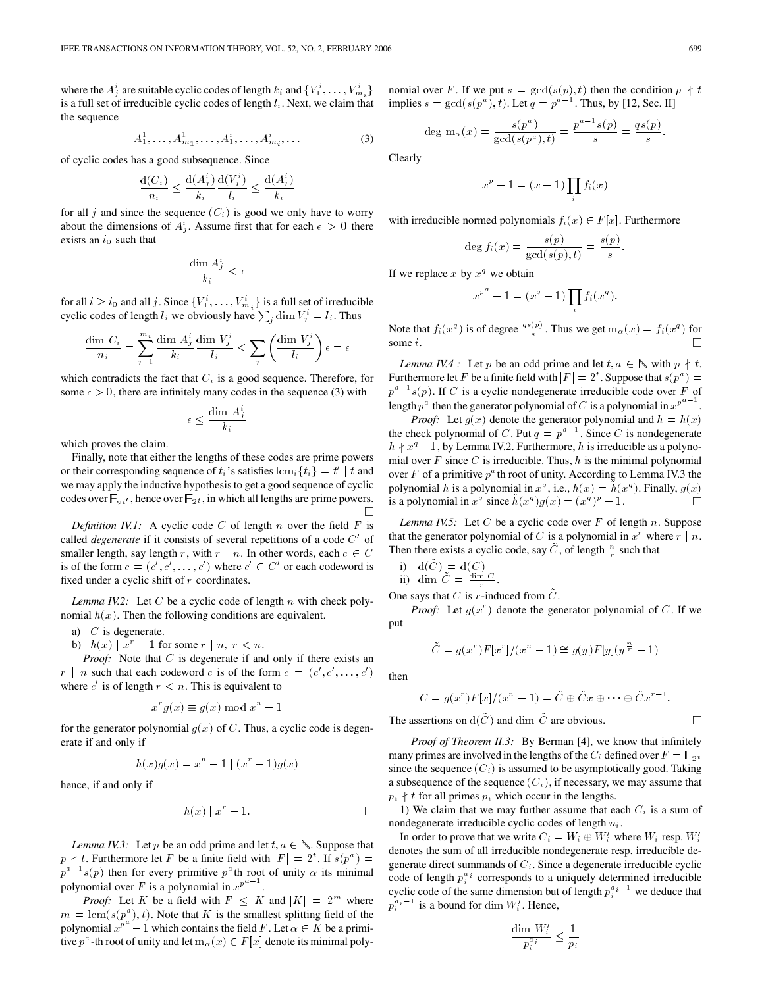where the  $A_j^i$  are suitable cyclic codes of length  $k_i$  and  $\{V_1^i, \ldots, V_{m_i}^i\}$ is a full set of irreducible cyclic codes of length  $l_i$ . Next, we claim that the sequence

$$
A_1^1, \dots, A_{m_1}^1, \dots, A_1^i, \dots, A_{m_i}^i, \dots
$$
 (3)

of cyclic codes has a good subsequence. Since

$$
\frac{\operatorname{d}(C_i)}{n_i} \leq \frac{\operatorname{d}(A_j^i)}{k_i} \frac{\operatorname{d}(V_j^i)}{l_i} \leq \frac{\operatorname{d}(A_j^i)}{k_i}
$$

for all j and since the sequence  $(C_i)$  is good we only have to worry about the dimensions of  $A_j^i$ . Assume first that for each  $\epsilon > 0$  there exists an  $i_0$  such that

$$
\frac{\dim A^i_j}{k_i} < \epsilon
$$

for all  $i \geq i_0$  and all j. Since  $\{V_1^i, \ldots, V_{m_i}^i\}$  is a full set of irreducible cyclic codes of length  $l_i$  we obviously have  $\sum_j \dim V_j^i = l_i$ . Thus

$$
\frac{\dim\,C_i}{n_i}=\sum_{j=1}^{m_i}\frac{\dim\,A_j^i}{k_i}\frac{\dim\,V_j^i}{l_i}<\sum_j\left(\frac{\dim\,V_j^i}{l_i}\right)\epsilon=\epsilon
$$

which contradicts the fact that  $C_i$  is a good sequence. Therefore, for some  $\epsilon > 0$ , there are infinitely many codes in the sequence (3) with

$$
\epsilon \leq \frac{\dim\, A^i_j}{k_i} \, .
$$

which proves the claim.

Finally, note that either the lengths of these codes are prime powers or their corresponding sequence of  $t_i$ 's satisfies  $\text{lcm}_i\{t_i\} = t'$  | t and we may apply the inductive hypothesis to get a good sequence of cyclic codes over  $\mathbb{F}_{2^t}$ , hence over  $\mathbb{F}_{2^t}$ , in which all lengths are prime powers.

*Definition IV.1:* A cyclic code  $C$  of length  $n$  over the field  $F$  is called *degenerate* if it consists of several repetitions of a code  $C'$  of smaller length, say length r, with  $r \mid n$ . In other words, each  $c \in C$ is of the form  $c = (c', c', \ldots, c')$  where  $c' \in C'$  or each codeword is fixed under a cyclic shift of  $r$  coordinates.

*Lemma IV.2:* Let  $C$  be a cyclic code of length  $n$  with check polynomial  $h(x)$ . Then the following conditions are equivalent.

- a)  $C$  is degenerate.
- b)  $h(x) | x^r 1$  for some  $r | n, r < n$ .

*Proof:* Note that C is degenerate if and only if there exists an  $r \mid n$  such that each codeword c is of the form  $c = (c', c', \dots, c')$ where  $c'$  is of length  $r < n$ . This is equivalent to

$$
x^r g(x) \equiv g(x) \bmod x^n - 1
$$

for the generator polynomial  $g(x)$  of C. Thus, a cyclic code is degenerate if and only if

$$
h(x)g(x) = x^{n} - 1 | (x^{r} - 1)g(x)
$$

hence, if and only if

$$
h(x) | x^r - 1.
$$

*Lemma IV.3:* Let p be an odd prime and let  $t, a \in \mathbb{N}$ . Suppose that  $p \nmid t$ . Furthermore let F be a finite field with  $|F| = 2^t$ . If  $s(p^a) =$  $p^{a-1}s(p)$  then for every primitive  $p^a$ th root of unity  $\alpha$  its minimal polynomial over F is a polynomial in  $x^{p^{a-1}}$ .

*Proof:* Let K be a field with  $F \nleq K$  and  $|K| = 2^m$  where  $m = \text{lcm}(s(p^a), t)$ . Note that K is the smallest splitting field of the polynomial  $x^{p^{\alpha}} - 1$  which contains the field F. Let  $\alpha \in K$  be a primitive  $p^a$ -th root of unity and let  $m_\alpha(x) \in F[x]$  denote its minimal poly-

nomial over F. If we put  $s = \gcd(s(p), t)$  then the condition  $p \nmid t$ implies  $s = \gcd(s(p^a), t)$ . Let  $q = p^{a-1}$ . Thus, by [12, Sec. II]

deg m<sub>$$
\alpha
$$</sub>(x) =  $\frac{s(p^a)}{\gcd(s(p^a), t)}$  =  $\frac{p^{a-1}s(p)}{s}$  =  $\frac{qs(p)}{s}$ .

Clearly

$$
x^p - 1 = (x - 1) \prod_i f_i(x)
$$

with irreducible normed polynomials  $f_i(x) \in F[x]$ . Furthermore

$$
\deg f_i(x) = \frac{s(p)}{\gcd(s(p), t)} = \frac{s(p)}{s}.
$$

If we replace x by  $x^q$  we obtain

$$
x^{p^a} - 1 = (x^q - 1) \prod_i f_i(x^q).
$$

Note that  $f_i(x^q)$  is of degree  $\frac{qs(p)}{s}$ . Thus we get  $m_\alpha(x) = f_i(x^q)$  for some i.

*Lemma IV.4* : Let p be an odd prime and let  $t, a \in \mathbb{N}$  with  $p \nmid t$ . Furthermore let F be a finite field with  $|F| = 2<sup>t</sup>$ . Suppose that  $s(p<sup>a</sup>) =$  $p^{a-1}s(p)$ . If C is a cyclic nondegenerate irreducible code over F of length  $p^a$  then the generator polynomial of C is a polynomial in  $x^{p^a-1}$ 

*Proof:* Let  $g(x)$  denote the generator polynomial and  $h = h(x)$ the check polynomial of C. Put  $q = p^{a-1}$ . Since C is nondegenerate  $h \, \dagger \, x^q - 1$ , by Lemma IV.2. Furthermore, h is irreducible as a polynomial over  $F$  since  $C$  is irreducible. Thus,  $h$  is the minimal polynomial over F of a primitive  $p^a$  th root of unity. According to Lemma IV.3 the polynomial h is a polynomial in  $x^q$ , i.e.,  $h(x) = h(x^q)$ . Finally,  $g(x)$ is a polynomial in  $x^q$  since  $\tilde{h}(x^q)g(x)=(x^q)^p-1$ . П

*Lemma IV.5:* Let C be a cyclic code over  $F$  of length n. Suppose that the generator polynomial of C is a polynomial in  $x^r$  where  $r \mid n$ . Then there exists a cyclic code, say  $\tilde{C}$ , of length  $\frac{n}{r}$  such that

i) 
$$
d(\tilde{C}) = d(C)
$$
  
ii) dim  $\tilde{C} = \frac{\dim C}{r}$ .

One says that C is r-induced from  $\ddot{C}$ .

*Proof:* Let  $g(x^r)$  denote the generator polynomial of C. If we put

$$
\tilde{C} = g(x^r)F[x^r]/(x^n - 1) \cong g(y)F[y](y^{\frac{n}{r}} - 1)
$$

then

$$
C = g(x^r)F[x]/(x^n - 1) = \tilde{C} \oplus \tilde{C}x \oplus \cdots \oplus \tilde{C}x^{r-1}.
$$

The assertions on  $d(\tilde{C})$  and dim  $\tilde{C}$  are obvious.

*Proof of Theorem II.3:* By Berman [4], we know that infinitely many primes are involved in the lengths of the  $C_i$  defined over  $F = \mathbb{F}_{2^t}$ since the sequence  $(C_i)$  is assumed to be asymptotically good. Taking a subsequence of the sequence  $(C_i)$ , if necessary, we may assume that  $p_i \nmid t$  for all primes  $p_i$  which occur in the lengths.

1) We claim that we may further assume that each  $C_i$  is a sum of nondegenerate irreducible cyclic codes of length  $n_i$ .

In order to prove that we write  $C_i = W_i \oplus W'_i$  where  $W_i$  resp.  $W'_i$ denotes the sum of all irreducible nondegenerate resp. irreducible degenerate direct summands of  $C_i$ . Since a degenerate irreducible cyclic code of length  $p_i^{a_i}$  corresponds to a uniquely determined irreducible cyclic code of the same dimension but of length  $p_i^{a_i-1}$  we deduce that  $p_i^{a_i-1}$  is a bound for dim  $W_i'$ . Hence,

$$
\frac{\dim W'_i}{p_i^{a_i}} \le \frac{1}{p_i}
$$

 $\Box$